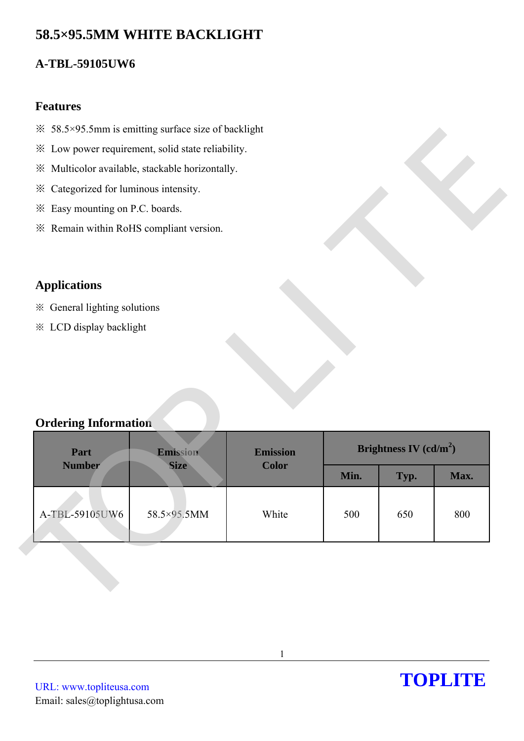# **58.5×95.5MM WHITE BACKLIGHT**

## **A-TBL-59105UW6**

### **Features**

- $\frac{3}{2}$  58.5×95.5mm is emitting surface size of backlight
- ※ Low power requirement, solid state reliability.
- ※ Multicolor available, stackable horizontally.
- ※ Categorized for luminous intensity.
- ※ Easy mounting on P.C. boards.
- ※ Remain within RoHS compliant version.

### **Applications**

### **Ordering Information**

| <sup>※</sup> 58.5×95.5mm is emitting surface size of backlight |             |                 |      |                          |      |
|----------------------------------------------------------------|-------------|-----------------|------|--------------------------|------|
| * Low power requirement, solid state reliability.              |             |                 |      |                          |      |
| ※ Multicolor available, stackable horizontally.                |             |                 |      |                          |      |
| Categorized for luminous intensity.<br>⋇                       |             |                 |      |                          |      |
| * Easy mounting on P.C. boards.                                |             |                 |      |                          |      |
| * Remain within RoHS compliant version.                        |             |                 |      |                          |      |
|                                                                |             |                 |      |                          |      |
|                                                                |             |                 |      |                          |      |
| <b>Applications</b>                                            |             |                 |      |                          |      |
| * General lighting solutions                                   |             |                 |      |                          |      |
|                                                                |             |                 |      |                          |      |
| <b>※ LCD display backlight</b>                                 |             |                 |      |                          |      |
|                                                                |             |                 |      |                          |      |
|                                                                |             |                 |      |                          |      |
|                                                                |             |                 |      |                          |      |
|                                                                |             |                 |      |                          |      |
| <b>Ordering Information</b>                                    |             |                 |      |                          |      |
| Part                                                           | Emission    | <b>Emission</b> |      | Brightness IV $(cd/m^2)$ |      |
| <b>Number</b>                                                  | <b>Size</b> | <b>Color</b>    | Min. | Typ.                     | Max. |
|                                                                |             |                 |      |                          |      |
| A-TBL-59105UW6                                                 | 58.5×95.5MM | White           | 500  | 650                      | 800  |
|                                                                |             |                 |      |                          |      |
|                                                                |             |                 |      |                          |      |
|                                                                |             |                 |      |                          |      |
|                                                                |             |                 |      |                          |      |

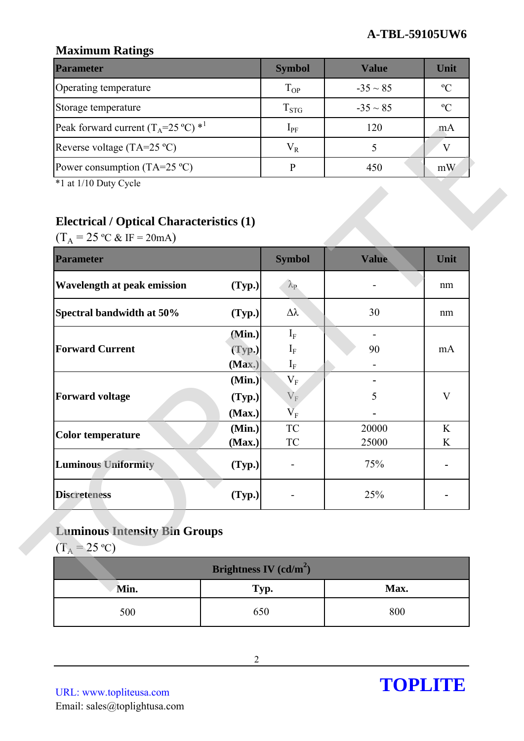## **Maximum Ratings**

| <b>Parameter</b>                                        | <b>Symbol</b> | Value         | Unit          |
|---------------------------------------------------------|---------------|---------------|---------------|
| Operating temperature                                   | $T_{OP}$      | $-35 \sim 85$ | $\mathcal{C}$ |
| Storage temperature                                     | $T_{STG}$     | $-35 \sim 85$ | $\rm ^{o}C$   |
| Peak forward current $(T_A=25 \degree C)$ <sup>*1</sup> | $1_{\rm PF}$  | 120           | mA            |
| Reverse voltage (TA=25 $^{\circ}$ C)                    | $V_R$         |               |               |
| Power consumption (TA=25 $^{\circ}$ C)                  |               | 450           | mW            |

## **Electrical / Optical Characteristics (1)**

| $\sum_{n=1}^{\infty}$                                                                                    |                          | - 21 U               |                          |              |
|----------------------------------------------------------------------------------------------------------|--------------------------|----------------------|--------------------------|--------------|
| Peak forward current $(T_A=25 \degree C)$ * <sup>1</sup>                                                 |                          | $I_{PF}$             | 120                      | mA           |
| Reverse voltage $(TA=25 °C)$                                                                             |                          | $V_R$                | 5                        | $\mathbf V$  |
| Power consumption (TA=25 $^{\circ}$ C)                                                                   |                          | $\mathbf{P}$         | 450                      | mW           |
| *1 at 1/10 Duty Cycle                                                                                    |                          |                      |                          |              |
| <b>Electrical / Optical Characteristics (1)</b><br>$(T_A = 25 \text{ °C} \& \text{ IF} = 20 \text{ mA})$ |                          |                      |                          |              |
| <b>Parameter</b>                                                                                         |                          | <b>Symbol</b>        | <b>Value</b>             | Unit         |
| <b>Wavelength at peak emission</b>                                                                       | (Typ.)                   | $\lambda_{\rm P}$    |                          | nm           |
| Spectral bandwidth at 50%                                                                                | (Typ.)                   | $\Delta \lambda$     | 30                       | nm           |
|                                                                                                          | (Min.)                   | $I_F$                | $\overline{\phantom{a}}$ |              |
| <b>Forward Current</b>                                                                                   | (Typ.)                   | $I_F$                | 90                       | mA           |
|                                                                                                          | (Max.)                   | $\mathbf{I}_{\rm F}$ |                          |              |
|                                                                                                          | (Min.)                   | $\rm V_F$            |                          | $\mathbf{V}$ |
| <b>Forward voltage</b>                                                                                   | (Typ.)<br>(Max.)         | $V_F$<br>$V_{\rm F}$ | 5                        |              |
|                                                                                                          | (Min.)                   | <b>TC</b>            | 20000                    | K            |
| <b>Color temperature</b>                                                                                 | (Max.)                   | ${\rm TC}$           | 25000                    | K            |
| <b>Luminous Uniformity</b>                                                                               | (Typ.)                   |                      | 75%                      |              |
| <b>Discreteness</b>                                                                                      | (Typ.)                   |                      | 25%                      |              |
| <b>Luminous Intensity Bin Groups</b><br>$(T_A = 25 \text{ °C})$                                          |                          |                      |                          |              |
|                                                                                                          | Brightness IV $(cd/m^2)$ |                      |                          |              |
| Min.                                                                                                     | Typ.                     |                      | Max.                     |              |
| 500                                                                                                      | 650                      |                      | 800                      |              |

# **Luminous Intensity Bin Groups**

| Brightness IV $(cd/m^2)$ |      |      |  |  |
|--------------------------|------|------|--|--|
| Min.                     | Typ. | Max. |  |  |
| 500                      | 650  | 800  |  |  |

URL: www.topliteusa.com Email: sales@toplightusa.com

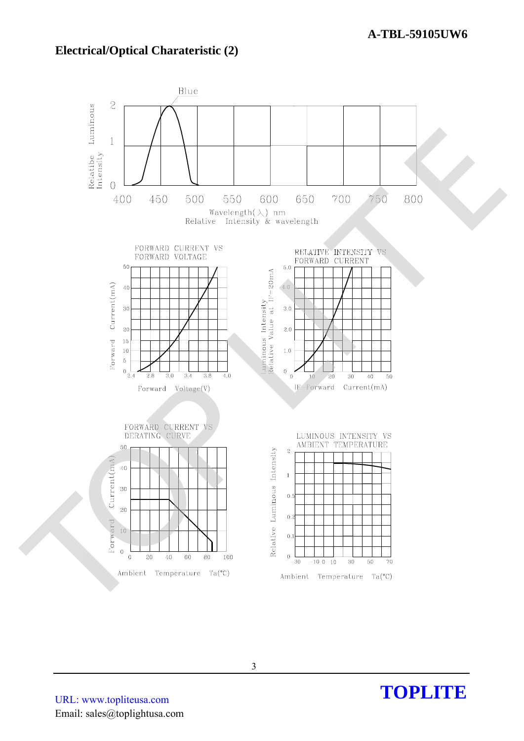### **Electrical/Optical Charateristic (2)**



URL: www.topliteusa.com Email: sales@toplightusa.com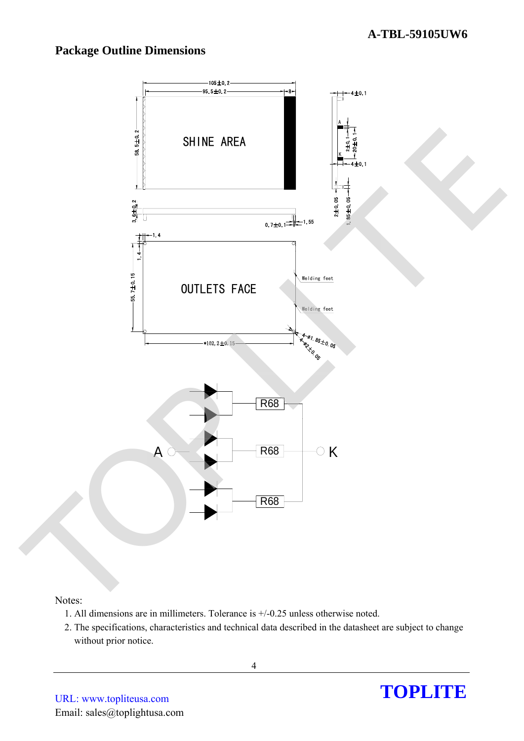## **Package Outline Dimensions**



#### Notes:

- 1. All dimensions are in millimeters. Tolerance is +/-0.25 unless otherwise noted.
- 2. The specifications, characteristics and technical data described in the datasheet are subject to change without prior notice.

4